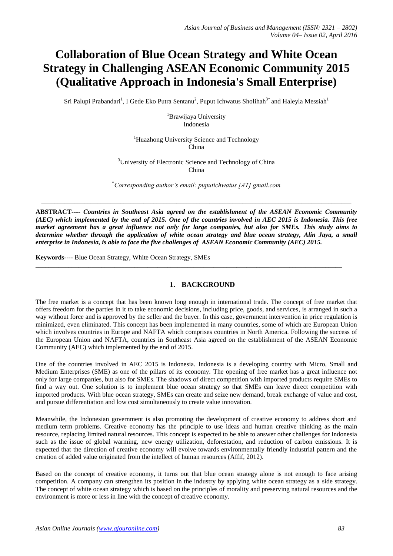# **Collaboration of Blue Ocean Strategy and White Ocean Strategy in Challenging ASEAN Economic Community 2015 (Qualitative Approach in Indonesia's Small Enterprise)**

Sri Palupi Prabandari<sup>1</sup>, I Gede Eko Putra Sentanu<sup>2</sup>, Puput Ichwatus Sholihah<sup>3\*</sup> and Haleyla Messiah<sup>1</sup>

<sup>1</sup>Brawijaya University Indonesia

<sup>1</sup>Huazhong University Science and Technology China

<sup>3</sup>University of Electronic Science and Technology of China China

\**Corresponding author's email: puputichwatus [AT] gmail.com*

\_\_\_\_\_\_\_\_\_\_\_\_\_\_\_\_\_\_\_\_\_\_\_\_\_\_\_\_\_\_\_\_\_\_\_\_\_\_\_\_\_\_\_\_\_\_\_\_\_\_\_\_\_\_\_\_\_\_\_\_\_\_\_\_\_\_\_\_\_\_\_\_\_\_\_\_\_\_\_\_\_\_\_\_\_\_\_\_\_\_\_\_\_\_

**ABSTRACT----** *Countries in Southeast Asia agreed on the establishment of the ASEAN Economic Community (AEC) which implemented by the end of 2015. One of the countries involved in AEC 2015 is Indonesia. This free market agreement has a great influence not only for large companies, but also for SMEs. This study aims to determine whether through the application of white ocean strategy and blue ocean strategy, Alin Jaya, a small enterprise in Indonesia, is able to face the five challenges of ASEAN Economic Community (AEC) 2015.*

\_\_\_\_\_\_\_\_\_\_\_\_\_\_\_\_\_\_\_\_\_\_\_\_\_\_\_\_\_\_\_\_\_\_\_\_\_\_\_\_\_\_\_\_\_\_\_\_\_\_\_\_\_\_\_\_\_\_\_\_\_\_\_\_\_\_\_\_\_\_\_\_\_\_\_\_\_\_\_\_\_\_\_\_\_\_\_\_\_\_\_\_\_

**Keywords**---- Blue Ocean Strategy, White Ocean Strategy, SMEs

## **1. BACKGROUND**

The free market is a concept that has been known long enough in international trade. The concept of free market that offers freedom for the parties in it to take economic decisions, including price, goods, and services, is arranged in such a way without force and is approved by the seller and the buyer. In this case, government intervention in price regulation is minimized, even eliminated. This concept has been implemented in many countries, some of which are European Union which involves countries in Europe and NAFTA which comprises countries in North America. Following the success of the European Union and NAFTA, countries in Southeast Asia agreed on the establishment of the ASEAN Economic Community (AEC) which implemented by the end of 2015.

One of the countries involved in AEC 2015 is Indonesia. Indonesia is a developing country with Micro, Small and Medium Enterprises (SME) as one of the pillars of its economy. The opening of free market has a great influence not only for large companies, but also for SMEs. The shadows of direct competition with imported products require SMEs to find a way out. One solution is to implement blue ocean strategy so that SMEs can leave direct competition with imported products. With blue ocean strategy, SMEs can create and seize new demand, break exchange of value and cost, and pursue differentiation and low cost simultaneously to create value innovation.

Meanwhile, the Indonesian government is also promoting the development of creative economy to address short and medium term problems. Creative economy has the principle to use ideas and human creative thinking as the main resource, replacing limited natural resources. This concept is expected to be able to answer other challenges for Indonesia such as the issue of global warming, new energy utilization, deforestation, and reduction of carbon emissions. It is expected that the direction of creative economy will evolve towards environmentally friendly industrial pattern and the creation of added value originated from the intellect of human resources (Affif, 2012).

Based on the concept of creative economy, it turns out that blue ocean strategy alone is not enough to face arising competition. A company can strengthen its position in the industry by applying white ocean strategy as a side strategy. The concept of white ocean strategy which is based on the principles of morality and preserving natural resources and the environment is more or less in line with the concept of creative economy.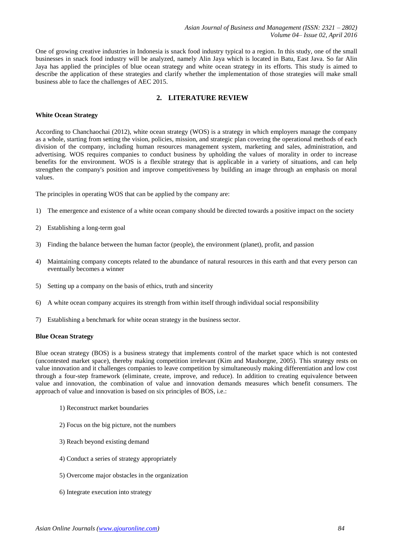One of growing creative industries in Indonesia is snack food industry typical to a region. In this study, one of the small businesses in snack food industry will be analyzed, namely Alin Jaya which is located in Batu, East Java. So far Alin Jaya has applied the principles of blue ocean strategy and white ocean strategy in its efforts. This study is aimed to describe the application of these strategies and clarify whether the implementation of those strategies will make small business able to face the challenges of AEC 2015.

# **2. LITERATURE REVIEW**

#### **White Ocean Strategy**

According to Chanchaochai (2012), white ocean strategy (WOS) is a strategy in which employers manage the company as a whole, starting from setting the vision, policies, mission, and strategic plan covering the operational methods of each division of the company, including human resources management system, marketing and sales, administration, and advertising. WOS requires companies to conduct business by upholding the values of morality in order to increase benefits for the environment. WOS is a flexible strategy that is applicable in a variety of situations, and can help strengthen the company's position and improve competitiveness by building an image through an emphasis on moral values.

The principles in operating WOS that can be applied by the company are:

- 1) The emergence and existence of a white ocean company should be directed towards a positive impact on the society
- 2) Establishing a long-term goal
- 3) Finding the balance between the human factor (people), the environment (planet), profit, and passion
- 4) Maintaining company concepts related to the abundance of natural resources in this earth and that every person can eventually becomes a winner
- 5) Setting up a company on the basis of ethics, truth and sincerity
- 6) A white ocean company acquires its strength from within itself through individual social responsibility
- 7) Establishing a benchmark for white ocean strategy in the business sector.

#### **Blue Ocean Strategy**

Blue ocean strategy (BOS) is a business strategy that implements control of the market space which is not contested (uncontested market space), thereby making competition irrelevant (Kim and Mauborgne, 2005). This strategy rests on value innovation and it challenges companies to leave competition by simultaneously making differentiation and low cost through a four-step framework (eliminate, create, improve, and reduce). In addition to creating equivalence between value and innovation, the combination of value and innovation demands measures which benefit consumers. The approach of value and innovation is based on six principles of BOS, i.e.:

- 1) Reconstruct market boundaries
- 2) Focus on the big picture, not the numbers
- 3) Reach beyond existing demand
- 4) Conduct a series of strategy appropriately
- 5) Overcome major obstacles in the organization
- 6) Integrate execution into strategy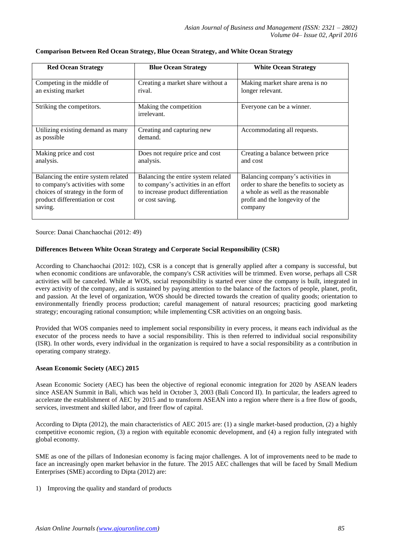| <b>Red Ocean Strategy</b>                                                                                                                                    | <b>Blue Ocean Strategy</b>                                                                                                            | <b>White Ocean Strategy</b>                                                                                                                                       |
|--------------------------------------------------------------------------------------------------------------------------------------------------------------|---------------------------------------------------------------------------------------------------------------------------------------|-------------------------------------------------------------------------------------------------------------------------------------------------------------------|
| Competing in the middle of<br>an existing market                                                                                                             | Creating a market share without a<br>rival.                                                                                           | Making market share arena is no<br>longer relevant.                                                                                                               |
| Striking the competitors.                                                                                                                                    | Making the competition<br>irrelevant.                                                                                                 | Everyone can be a winner.                                                                                                                                         |
| Utilizing existing demand as many<br>as possible                                                                                                             | Creating and capturing new<br>demand.                                                                                                 | Accommodating all requests.                                                                                                                                       |
| Making price and cost<br>analysis.                                                                                                                           | Does not require price and cost<br>analysis.                                                                                          | Creating a balance between price<br>and cost                                                                                                                      |
| Balancing the entire system related<br>to company's activities with some<br>choices of strategy in the form of<br>product differentiation or cost<br>saving. | Balancing the entire system related<br>to company's activities in an effort<br>to increase product differentiation<br>or cost saving. | Balancing company's activities in<br>order to share the benefits to society as<br>a whole as well as the reasonable<br>profit and the longevity of the<br>company |

#### **Comparison Between Red Ocean Strategy, Blue Ocean Strategy, and White Ocean Strategy**

Source: Danai Chanchaochai (2012: 49)

### **Differences Between White Ocean Strategy and Corporate Social Responsibility (CSR)**

According to Chanchaochai (2012: 102), CSR is a concept that is generally applied after a company is successful, but when economic conditions are unfavorable, the company's CSR activities will be trimmed. Even worse, perhaps all CSR activities will be canceled. While at WOS, social responsibility is started ever since the company is built, integrated in every activity of the company, and is sustained by paying attention to the balance of the factors of people, planet, profit, and passion*.* At the level of organization, WOS should be directed towards the creation of quality goods; orientation to environmentally friendly process production; careful management of natural resources; practicing good marketing strategy; encouraging rational consumption; while implementing CSR activities on an ongoing basis.

Provided that WOS companies need to implement social responsibility in every process, it means each individual as the executor of the process needs to have a social responsibility. This is then referred to individual social responsibility (ISR). In other words, every individual in the organization is required to have a social responsibility as a contribution in operating company strategy.

#### **Asean Economic Society (AEC) 2015**

Asean Economic Society (AEC) has been the objective of regional economic integration for 2020 by ASEAN leaders since ASEAN Summit in Bali, which was held in October 3, 2003 (Bali Concord II). In particular, the leaders agreed to accelerate the establishment of AEC by 2015 and to transform ASEAN into a region where there is a free flow of goods, services, investment and skilled labor, and freer flow of capital.

According to Dipta (2012), the main characteristics of AEC 2015 are: (1) a single market-based production, (2) a highly competitive economic region, (3) a region with equitable economic development, and (4) a region fully integrated with global economy.

SME as one of the pillars of Indonesian economy is facing major challenges. A lot of improvements need to be made to face an increasingly open market behavior in the future. The 2015 AEC challenges that will be faced by Small Medium Enterprises (SME) according to Dipta (2012) are:

1) Improving the quality and standard of products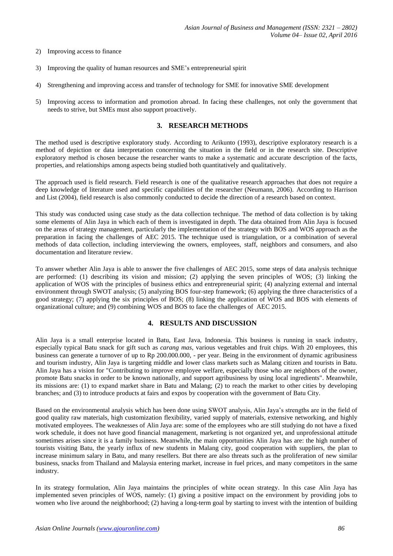#### 2) Improving access to finance

- 3) Improving the quality of human resources and SME's entrepreneurial spirit
- 4) Strengthening and improving access and transfer of technology for SME for innovative SME development
- 5) Improving access to information and promotion abroad. In facing these challenges, not only the government that needs to strive, but SMEs must also support proactively.

#### **3. RESEARCH METHODS**

The method used is descriptive exploratory study. According to Arikunto (1993), descriptive exploratory research is a method of depiction or data interpretation concerning the situation in the field or in the research site. Descriptive exploratory method is chosen because the researcher wants to make a systematic and accurate description of the facts, properties, and relationships among aspects being studied both quantitatively and qualitatively.

The approach used is field research. Field research is one of the qualitative research approaches that does not require a deep knowledge of literature used and specific capabilities of the researcher (Neumann, 2006). According to Harrison and List (2004), field research is also commonly conducted to decide the direction of a research based on context.

This study was conducted using case study as the data collection technique. The method of data collection is by taking some elements of Alin Jaya in which each of them is investigated in depth. The data obtained from Alin Jaya is focused on the areas of strategy management, particularly the implementation of the strategy with BOS and WOS approach as the preparation in facing the challenges of AEC 2015. The technique used is triangulation, or a combination of several methods of data collection, including interviewing the owners, employees, staff, neighbors and consumers, and also documentation and literature review.

To answer whether Alin Jaya is able to answer the five challenges of AEC 2015, some steps of data analysis technique are performed: (1) describing its vision and mission; (2) applying the seven principles of WOS; (3) linking the application of WOS with the principles of business ethics and entrepreneurial spirit; (4) analyzing external and internal environment through SWOT analysis; (5) analyzing BOS four-step framework; (6) applying the three characteristics of a good strategy; (7) applying the six principles of BOS; (8) linking the application of WOS and BOS with elements of organizational culture; and (9) combining WOS and BOS to face the challenges of AEC 2015.

## **4. RESULTS AND DISCUSSION**

Alin Jaya is a small enterprise located in Batu, East Java, Indonesia. This business is running in snack industry, especially typical Batu snack for gift such as *carang mas*, various vegetables and fruit chips. With 20 employees, this business can generate a turnover of up to Rp 200.000.000, - per year. Being in the environment of dynamic agribusiness and tourism industry, Alin Jaya is targeting middle and lower class markets such as Malang citizen and tourists in Batu. Alin Jaya has a vision for "Contributing to improve employee welfare, especially those who are neighbors of the owner, promote Batu snacks in order to be known nationally, and support agribusiness by using local ingredients". Meanwhile, its missions are: (1) to expand market share in Batu and Malang; (2) to reach the market to other cities by developing branches; and (3) to introduce products at fairs and expos by cooperation with the government of Batu City.

Based on the environmental analysis which has been done using SWOT analysis, Alin Jaya's strengths are in the field of good quality raw materials, high customization flexibility, varied supply of materials, extensive networking, and highly motivated employees. The weaknesses of Alin Jaya are: some of the employees who are still studying do not have a fixed work schedule, it does not have good financial management, marketing is not organized yet, and unprofessional attitude sometimes arises since it is a family business. Meanwhile, the main opportunities Alin Jaya has are: the high number of tourists visiting Batu, the yearly influx of new students in Malang city, good cooperation with suppliers, the plan to increase minimum salary in Batu, and many resellers. But there are also threats such as the proliferation of new similar business, snacks from Thailand and Malaysia entering market, increase in fuel prices, and many competitors in the same industry.

In its strategy formulation, Alin Jaya maintains the principles of white ocean strategy. In this case Alin Jaya has implemented seven principles of WOS, namely: (1) giving a positive impact on the environment by providing jobs to women who live around the neighborhood; (2) having a long-term goal by starting to invest with the intention of building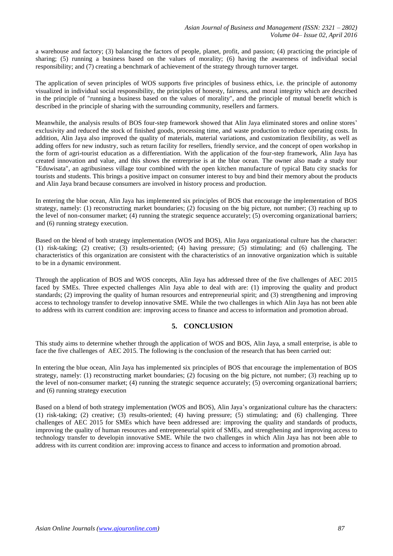a warehouse and factory; (3) balancing the factors of people, planet, profit, and passion; (4) practicing the principle of sharing; (5) running a business based on the values of morality; (6) having the awareness of individual social responsibility; and (7) creating a benchmark of achievement of the strategy through turnover target.

The application of seven principles of WOS supports five principles of business ethics, i.e. the principle of autonomy visualized in individual social responsibility, the principles of honesty, fairness, and moral integrity which are described in the principle of "running a business based on the values of morality", and the principle of mutual benefit which is described in the principle of sharing with the surrounding community, resellers and farmers.

Meanwhile, the analysis results of BOS four-step framework showed that Alin Jaya eliminated stores and online stores' exclusivity and reduced the stock of finished goods, processing time, and waste production to reduce operating costs. In addition, Alin Jaya also improved the quality of materials, material variations, and customization flexibility, as well as adding offers for new industry, such as return facility for resellers, friendly service, and the concept of open workshop in the form of agri-tourist education as a differentiation. With the application of the four-step framework, Alin Jaya has created innovation and value, and this shows the entrerprise is at the blue ocean. The owner also made a study tour "Eduwisata", an agribusiness village tour combined with the open kitchen manufacture of typical Batu city snacks for tourists and students. This brings a positive impact on consumer interest to buy and bind their memory about the products and Alin Jaya brand because consumers are involved in history process and production.

In entering the blue ocean, Alin Jaya has implemented six principles of BOS that encourage the implementation of BOS strategy, namely: (1) reconstructing market boundaries; (2) focusing on the big picture, not number; (3) reaching up to the level of non-consumer market; (4) running the strategic sequence accurately; (5) overcoming organizational barriers; and (6) running strategy execution.

Based on the blend of both strategy implementation (WOS and BOS), Alin Jaya organizational culture has the character: (1) risk-taking; (2) creative; (3) results-oriented; (4) having pressure; (5) stimulating; and (6) challenging. The characteristics of this organization are consistent with the characteristics of an innovative organization which is suitable to be in a dynamic environment.

Through the application of BOS and WOS concepts, Alin Jaya has addressed three of the five challenges of AEC 2015 faced by SMEs. Three expected challenges Alin Jaya able to deal with are: (1) improving the quality and product standards; (2) improving the quality of human resources and entrepreneurial spirit; and (3) strengthening and improving access to technology transfer to develop innovative SME. While the two challenges in which Alin Jaya has not been able to address with its current condition are: improving access to finance and access to information and promotion abroad.

## **5. CONCLUSION**

This study aims to determine whether through the application of WOS and BOS, Alin Jaya, a small enterprise, is able to face the five challenges of AEC 2015. The following is the conclusion of the research that has been carried out:

In entering the blue ocean, Alin Jaya has implemented six principles of BOS that encourage the implementation of BOS strategy, namely: (1) reconstructing market boundaries; (2) focusing on the big picture, not number; (3) reaching up to the level of non-consumer market; (4) running the strategic sequence accurately; (5) overcoming organizational barriers; and (6) running strategy execution

Based on a blend of both strategy implementation (WOS and BOS), Alin Jaya's organizational culture has the characters: (1) risk-taking; (2) creative; (3) results-oriented; (4) having pressure; (5) stimulating; and (6) challenging. Three challenges of AEC 2015 for SMEs which have been addressed are: improving the quality and standards of products, improving the quality of human resources and entrepreneurial spirit of SMEs, and strengthening and improving access to technology transfer to developin innovative SME. While the two challenges in which Alin Jaya has not been able to address with its current condition are: improving access to finance and access to information and promotion abroad.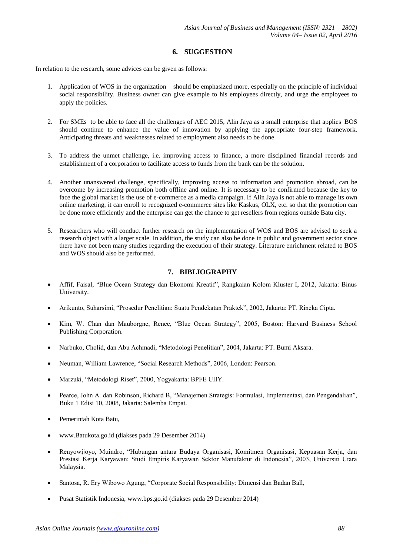# **6. SUGGESTION**

In relation to the research, some advices can be given as follows:

- 1. Application of WOS in the organization should be emphasized more, especially on the principle of individual social responsibility. Business owner can give example to his employees directly, and urge the employees to apply the policies.
- 2. For SMEs to be able to face all the challenges of AEC 2015, Alin Jaya as a small enterprise that applies BOS should continue to enhance the value of innovation by applying the appropriate four-step framework. Anticipating threats and weaknesses related to employment also needs to be done.
- 3. To address the unmet challenge, i.e. improving access to finance, a more disciplined financial records and establishment of a corporation to facilitate access to funds from the bank can be the solution.
- 4. Another unanswered challenge, specifically, improving access to information and promotion abroad, can be overcome by increasing promotion both offline and online. It is necessary to be confirmed because the key to face the global market is the use of e-commerce as a media campaign. If Alin Jaya is not able to manage its own online marketing, it can enroll to recognized e-commerce sites like Kaskus, OLX, etc. so that the promotion can be done more efficiently and the enterprise can get the chance to get resellers from regions outside Batu city.
- 5. Researchers who will conduct further research on the implementation of WOS and BOS are advised to seek a research object with a larger scale. In addition, the study can also be done in public and government sector since there have not been many studies regarding the execution of their strategy. Literature enrichment related to BOS and WOS should also be performed.

# **7. BIBLIOGRAPHY**

- Affif, Faisal, "Blue Ocean Strategy dan Ekonomi Kreatif", Rangkaian Kolom Kluster I, 2012, Jakarta: Binus University.
- Arikunto, Suharsimi, "Prosedur Penelitian: Suatu Pendekatan Praktek", 2002, Jakarta: PT. Rineka Cipta.
- Kim, W. Chan dan Mauborgne, Renee, "Blue Ocean Strategy", 2005, Boston: Harvard Business School Publishing Corporation.
- Narbuko, Cholid, dan Abu Achmadi, "Metodologi Penelitian", 2004, Jakarta: PT. Bumi Aksara.
- Neuman, William Lawrence, "Social Research Methods", 2006, London: Pearson.
- Marzuki, "Metodologi Riset", 2000, Yogyakarta: BPFE UIIY.
- Pearce, John A. dan Robinson, Richard B, "Manajemen Strategis: Formulasi, Implementasi, dan Pengendalian", Buku 1 Edisi 10, 2008, Jakarta: Salemba Empat.
- Pemerintah Kota Batu,
- www.Batukota.go.id (diakses pada 29 Desember 2014)
- Renyowijoyo, Muindro, "Hubungan antara Budaya Organisasi, Komitmen Organisasi, Kepuasan Kerja, dan Prestasi Kerja Karyawan: Studi Empiris Karyawan Sektor Manufaktur di Indonesia", 2003, Universiti Utara Malaysia.
- Santosa, R. Ery Wibowo Agung, "Corporate Social Responsibility: Dimensi dan Badan Ball,
- Pusat Statistik Indonesia, www.bps.go.id (diakses pada 29 Desember 2014)